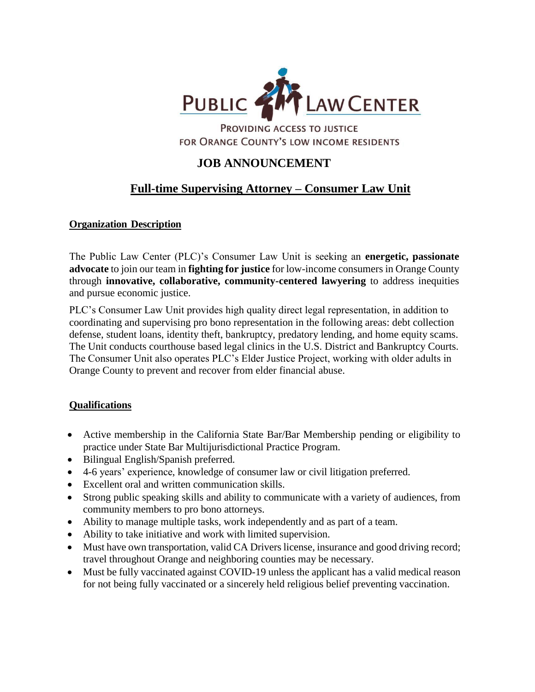

PROVIDING ACCESS TO JUSTICE FOR ORANGE COUNTY'S LOW INCOME RESIDENTS

## **JOB ANNOUNCEMENT**

# **Full-time Supervising Attorney – Consumer Law Unit**

#### **Organization Description**

The Public Law Center (PLC)'s Consumer Law Unit is seeking an **energetic, passionate advocate** to join our team in **fighting for justice** for low-income consumers in Orange County through **innovative, collaborative, community-centered lawyering** to address inequities and pursue economic justice.

PLC's Consumer Law Unit provides high quality direct legal representation, in addition to coordinating and supervising pro bono representation in the following areas: debt collection defense, student loans, identity theft, bankruptcy, predatory lending, and home equity scams. The Unit conducts courthouse based legal clinics in the U.S. District and Bankruptcy Courts. The Consumer Unit also operates PLC's Elder Justice Project, working with older adults in Orange County to prevent and recover from elder financial abuse.

#### **Qualifications**

- Active membership in the California State Bar/Bar Membership pending or eligibility to practice under State Bar Multijurisdictional Practice Program.
- Bilingual English/Spanish preferred.
- 4-6 years' experience, knowledge of consumer law or civil litigation preferred.
- Excellent oral and written communication skills.
- Strong public speaking skills and ability to communicate with a variety of audiences, from community members to pro bono attorneys.
- Ability to manage multiple tasks, work independently and as part of a team.
- Ability to take initiative and work with limited supervision.
- Must have own transportation, valid CA Drivers license, insurance and good driving record; travel throughout Orange and neighboring counties may be necessary.
- Must be fully vaccinated against COVID-19 unless the applicant has a valid medical reason for not being fully vaccinated or a sincerely held religious belief preventing vaccination.